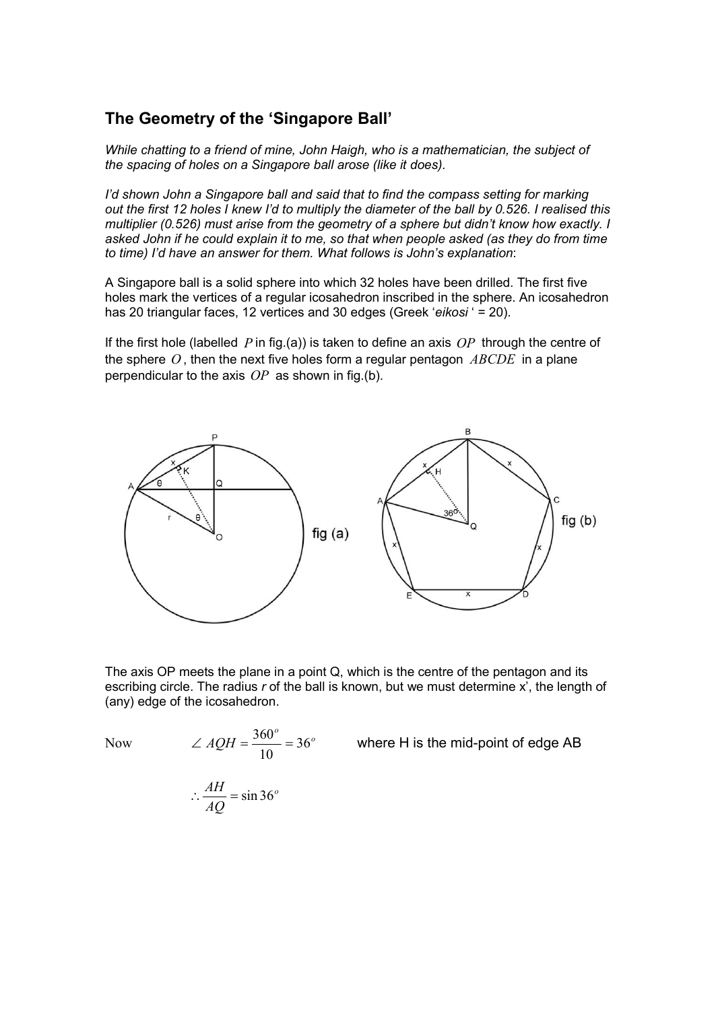## The Geometry of the 'Singapore Ball'

While chatting to a friend of mine, John Haigh, who is a mathematician, the subject of the spacing of holes on a Singapore ball arose (like it does).

I'd shown John a Singapore ball and said that to find the compass setting for marking out the first 12 holes I knew I'd to multiply the diameter of the ball by 0.526. I realised this multiplier (0.526) must arise from the geometry of a sphere but didn't know how exactly. I asked John if he could explain it to me, so that when people asked (as they do from time to time) I'd have an answer for them. What follows is John's explanation:

A Singapore ball is a solid sphere into which 32 holes have been drilled. The first five holes mark the vertices of a regular icosahedron inscribed in the sphere. An icosahedron has 20 triangular faces, 12 vertices and 30 edges (Greek 'eikosi' = 20).

If the first hole (labelled  $P$  in fig.(a)) is taken to define an axis  $OP$  through the centre of the sphere  $O$ , then the next five holes form a regular pentagon  $\mathit{ABCDE}$  in a plane perpendicular to the axis  $OP$  as shown in fig.(b).



The axis OP meets the plane in a point Q, which is the centre of the pentagon and its escribing circle. The radius  $r$  of the ball is known, but we must determine  $x'$ , the length of (any) edge of the icosahedron.

Now  $\angle AQH = \frac{360^{\circ}}{10} = 36^{\circ}$  $AQH = \frac{366}{18} = 36$ 10  $\angle AQH = \frac{360^{\circ}}{10} = 36^{\circ}$  where H is the mid-point of edge AB

$$
\therefore \frac{AH}{AQ} = \sin 36^\circ
$$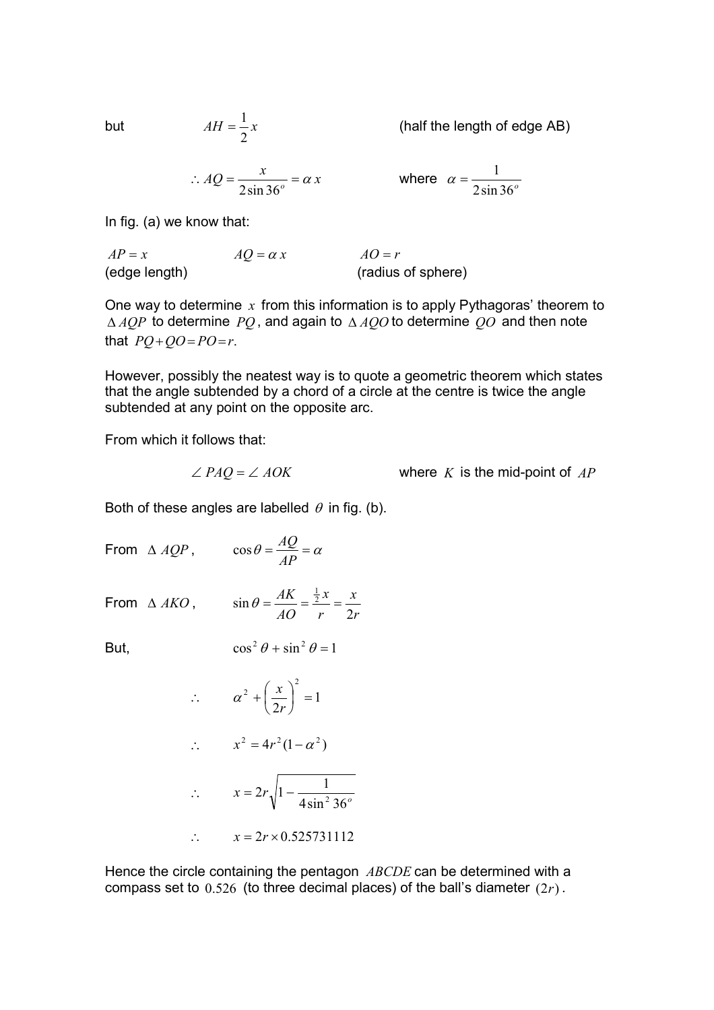but  $AH = \frac{1}{2}x$ 

(half the length of edge AB)

$$
\therefore AQ = \frac{x}{2\sin 36^\circ} = \alpha x
$$

2 1

where 
$$
\alpha = \frac{1}{2 \sin 36^\circ}
$$

In fig. (a) we know that:

 $AP = x$   $AQ = \alpha x$   $AO = r$ (edge length) (radius of sphere)

One way to determine  $x$  from this information is to apply Pythagoras' theorem to  $\triangle AQP$  to determine PQ, and again to  $\triangle AQO$  to determine QO and then note that  $PO + OO = PO = r$ .

However, possibly the neatest way is to quote a geometric theorem which states that the angle subtended by a chord of a circle at the centre is twice the angle subtended at any point on the opposite arc.

From which it follows that:

$$
\angle PAQ = \angle AOK
$$
 where K is the mid-point of AP

Both of these angles are labelled  $\theta$  in fig. (b).

- From  $\triangle AQP$ ,  $\cos \theta = \frac{AQ}{dP} = \alpha$ AP  $\cos \theta = \frac{AQ}{4R}$
- From  $\triangle$  AKO,
- r x r x AO AK 2  $\sin \theta = \frac{AK}{10} = \frac{\frac{1}{2}x}{10} =$

But,  $\cos^2 \theta + \sin^2 \theta = 1$ 

$$
\therefore \qquad \alpha^2 + \left(\frac{x}{2r}\right)^2 = 1
$$
\n
$$
\therefore \qquad x^2 = 4r^2(1-\alpha^2)
$$
\n
$$
\therefore \qquad x = 2r\sqrt{1 - \frac{1}{4\sin^2 36^\circ}}
$$
\n
$$
\therefore \qquad x = 2r \times 0.525731112
$$

Hence the circle containing the pentagon ABCDE can be determined with a compass set to  $0.526$  (to three decimal places) of the ball's diameter  $(2r)$ .